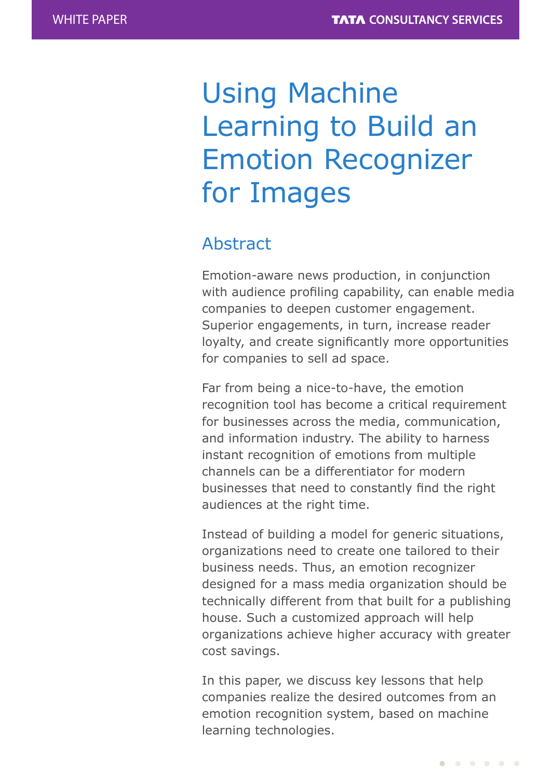# Using Machine Learning to Build an Emotion Recognizer for Images

# Abstract

Emotion-aware news production, in conjunction with audience profiling capability, can enable media companies to deepen customer engagement. Superior engagements, in turn, increase reader loyalty, and create significantly more opportunities for companies to sell ad space.

Far from being a nice-to-have, the emotion recognition tool has become a critical requirement for businesses across the media, communication, and information industry. The ability to harness instant recognition of emotions from multiple channels can be a differentiator for modern businesses that need to constantly find the right audiences at the right time.

Instead of building a model for generic situations, organizations need to create one tailored to their business needs. Thus, an emotion recognizer designed for a mass media organization should be technically different from that built for a publishing house. Such a customized approach will help organizations achieve higher accuracy with greater cost savings.

In this paper, we discuss key lessons that help companies realize the desired outcomes from an emotion recognition system, based on machine learning technologies.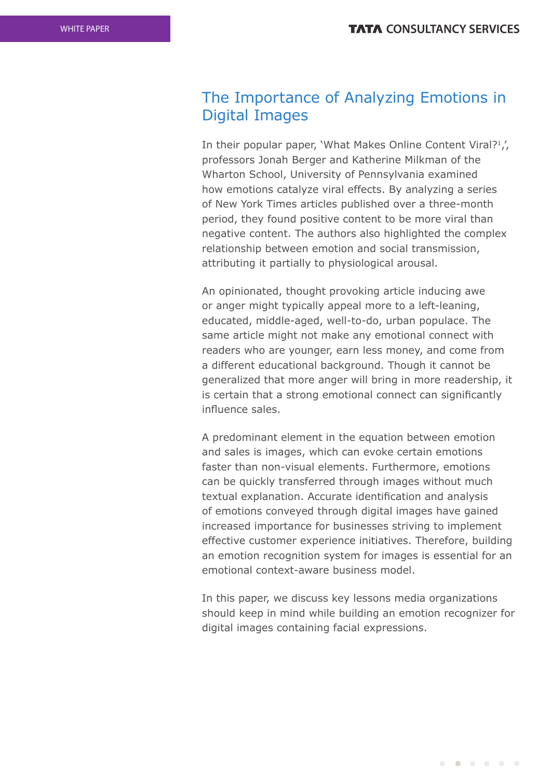# The Importance of Analyzing Emotions in Digital Images

In their popular paper, 'What Makes Online Content Viral?<sup>1</sup>', professors Jonah Berger and Katherine Milkman of the Wharton School, University of Pennsylvania examined how emotions catalyze viral effects. By analyzing a series of New York Times articles published over a three-month period, they found positive content to be more viral than negative content. The authors also highlighted the complex relationship between emotion and social transmission, attributing it partially to physiological arousal.

An opinionated, thought provoking article inducing awe or anger might typically appeal more to a left-leaning, educated, middle-aged, well-to-do, urban populace. The same article might not make any emotional connect with readers who are younger, earn less money, and come from a different educational background. Though it cannot be generalized that more anger will bring in more readership, it is certain that a strong emotional connect can significantly influence sales.

A predominant element in the equation between emotion and sales is images, which can evoke certain emotions faster than non-visual elements. Furthermore, emotions can be quickly transferred through images without much textual explanation. Accurate identification and analysis of emotions conveyed through digital images have gained increased importance for businesses striving to implement effective customer experience initiatives. Therefore, building an emotion recognition system for images is essential for an emotional context-aware business model.

In this paper, we discuss key lessons media organizations should keep in mind while building an emotion recognizer for digital images containing facial expressions.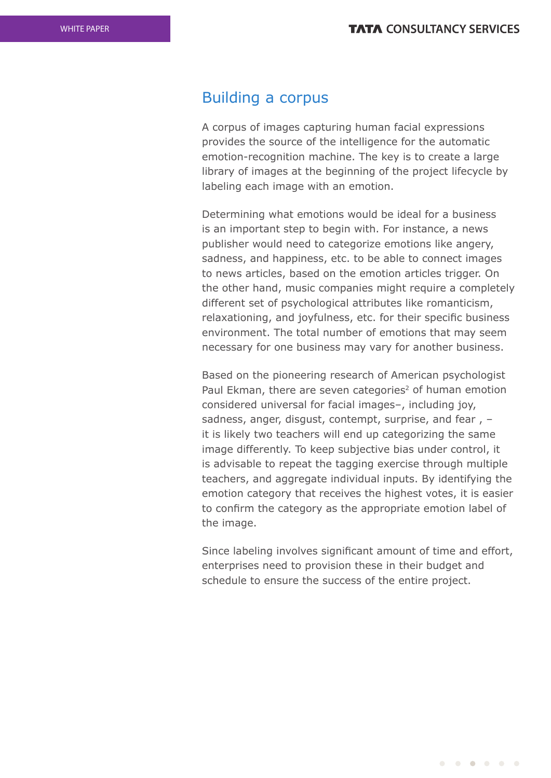## Building a corpus

A corpus of images capturing human facial expressions provides the source of the intelligence for the automatic emotion-recognition machine. The key is to create a large library of images at the beginning of the project lifecycle by labeling each image with an emotion.

Determining what emotions would be ideal for a business is an important step to begin with. For instance, a news publisher would need to categorize emotions like angery, sadness, and happiness, etc. to be able to connect images to news articles, based on the emotion articles trigger. On the other hand, music companies might require a completely different set of psychological attributes like romanticism, relaxationing, and joyfulness, etc. for their specific business environment. The total number of emotions that may seem necessary for one business may vary for another business.

Based on the pioneering research of American psychologist Paul Ekman, there are seven categories<sup>2</sup> of human emotion considered universal for facial images–, including joy, sadness, anger, disgust, contempt, surprise, and fear , – it is likely two teachers will end up categorizing the same image differently. To keep subjective bias under control, it is advisable to repeat the tagging exercise through multiple teachers, and aggregate individual inputs. By identifying the emotion category that receives the highest votes, it is easier to confirm the category as the appropriate emotion label of the image.

Since labeling involves significant amount of time and effort, enterprises need to provision these in their budget and schedule to ensure the success of the entire project.

 $\begin{array}{cccccccccccccc} \bullet & \bullet & \bullet & \bullet & \bullet & \bullet & \bullet & \bullet & \bullet \end{array}$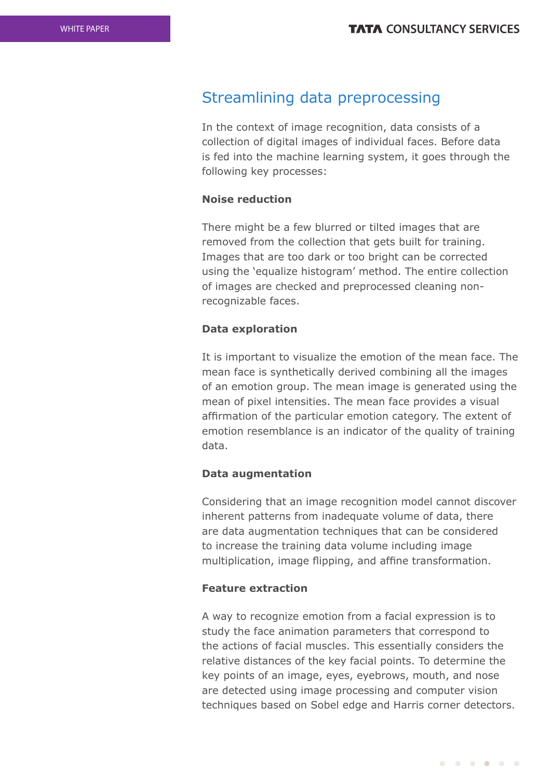# Streamlining data preprocessing

In the context of image recognition, data consists of a collection of digital images of individual faces. Before data is fed into the machine learning system, it goes through the following key processes:

### **Noise reduction**

There might be a few blurred or tilted images that are removed from the collection that gets built for training. Images that are too dark or too bright can be corrected using the 'equalize histogram' method. The entire collection of images are checked and preprocessed cleaning nonrecognizable faces.

### **Data exploration**

It is important to visualize the emotion of the mean face. The mean face is synthetically derived combining all the images of an emotion group. The mean image is generated using the mean of pixel intensities. The mean face provides a visual affirmation of the particular emotion category. The extent of emotion resemblance is an indicator of the quality of training data.

### **Data augmentation**

Considering that an image recognition model cannot discover inherent patterns from inadequate volume of data, there are data augmentation techniques that can be considered to increase the training data volume including image multiplication, image flipping, and affine transformation.

#### **Feature extraction**

A way to recognize emotion from a facial expression is to study the face animation parameters that correspond to the actions of facial muscles. This essentially considers the relative distances of the key facial points. To determine the key points of an image, eyes, eyebrows, mouth, and nose are detected using image processing and computer vision techniques based on Sobel edge and Harris corner detectors.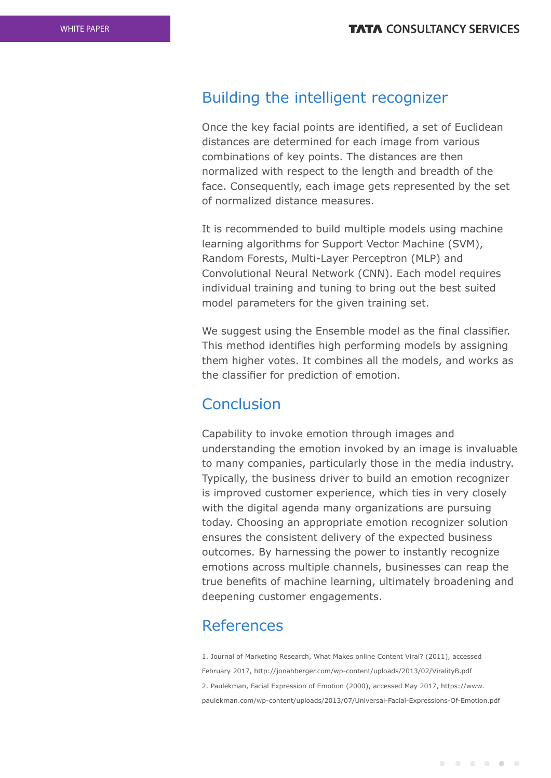# Building the intelligent recognizer

Once the key facial points are identified, a set of Euclidean distances are determined for each image from various combinations of key points. The distances are then normalized with respect to the length and breadth of the face. Consequently, each image gets represented by the set of normalized distance measures.

It is recommended to build multiple models using machine learning algorithms for Support Vector Machine (SVM), Random Forests, Multi-Layer Perceptron (MLP) and Convolutional Neural Network (CNN). Each model requires individual training and tuning to bring out the best suited model parameters for the given training set.

We suggest using the Ensemble model as the final classifier. This method identifies high performing models by assigning them higher votes. It combines all the models, and works as the classifier for prediction of emotion.

### Conclusion

Capability to invoke emotion through images and understanding the emotion invoked by an image is invaluable to many companies, particularly those in the media industry. Typically, the business driver to build an emotion recognizer is improved customer experience, which ties in very closely with the digital agenda many organizations are pursuing today. Choosing an appropriate emotion recognizer solution ensures the consistent delivery of the expected business outcomes. By harnessing the power to instantly recognize emotions across multiple channels, businesses can reap the true benefits of machine learning, ultimately broadening and deepening customer engagements.

# References

1. Journal of Marketing Research, What Makes online Content Viral? (2011), accessed February 2017, http://jonahberger.com/wp-content/uploads/2013/02/ViralityB.pdf 2. Paulekman, Facial Expression of Emotion (2000), accessed May 2017, https://www. paulekman.com/wp-content/uploads/2013/07/Universal-Facial-Expressions-Of-Emotion.pdf